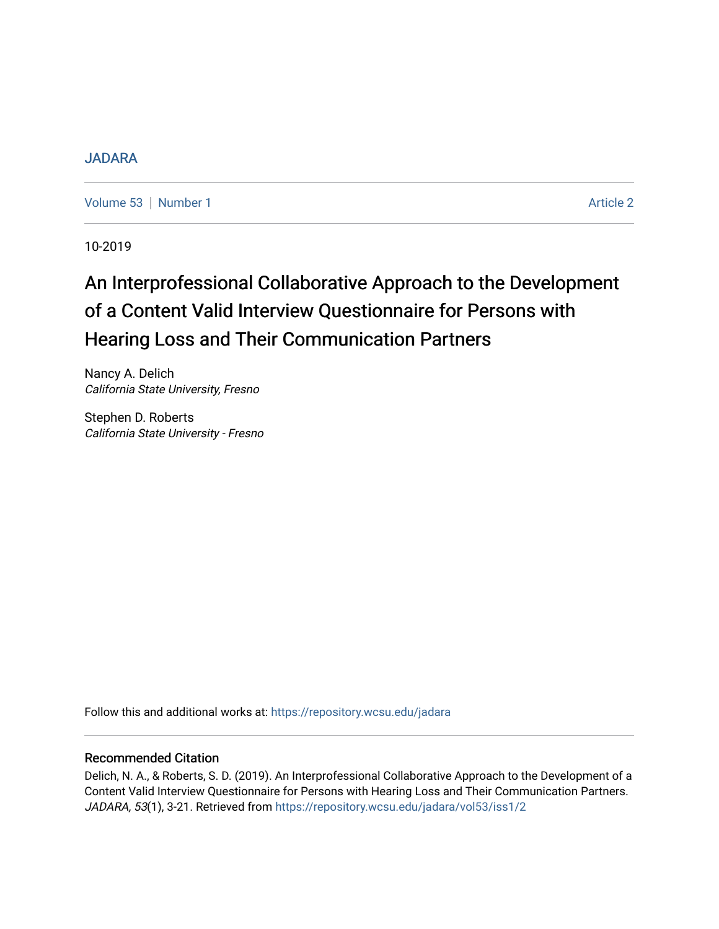## [JADARA](https://repository.wcsu.edu/jadara)

[Volume 53](https://repository.wcsu.edu/jadara/vol53) | [Number 1](https://repository.wcsu.edu/jadara/vol53/iss1) Article 2

10-2019

# An Interprofessional Collaborative Approach to the Development of a Content Valid Interview Questionnaire for Persons with Hearing Loss and Their Communication Partners

Nancy A. Delich California State University, Fresno

Stephen D. Roberts California State University - Fresno

Follow this and additional works at: [https://repository.wcsu.edu/jadara](https://repository.wcsu.edu/jadara?utm_source=repository.wcsu.edu%2Fjadara%2Fvol53%2Fiss1%2F2&utm_medium=PDF&utm_campaign=PDFCoverPages)

## Recommended Citation

Delich, N. A., & Roberts, S. D. (2019). An Interprofessional Collaborative Approach to the Development of a Content Valid Interview Questionnaire for Persons with Hearing Loss and Their Communication Partners. JADARA, 53(1), 3-21. Retrieved from [https://repository.wcsu.edu/jadara/vol53/iss1/2](https://repository.wcsu.edu/jadara/vol53/iss1/2?utm_source=repository.wcsu.edu%2Fjadara%2Fvol53%2Fiss1%2F2&utm_medium=PDF&utm_campaign=PDFCoverPages)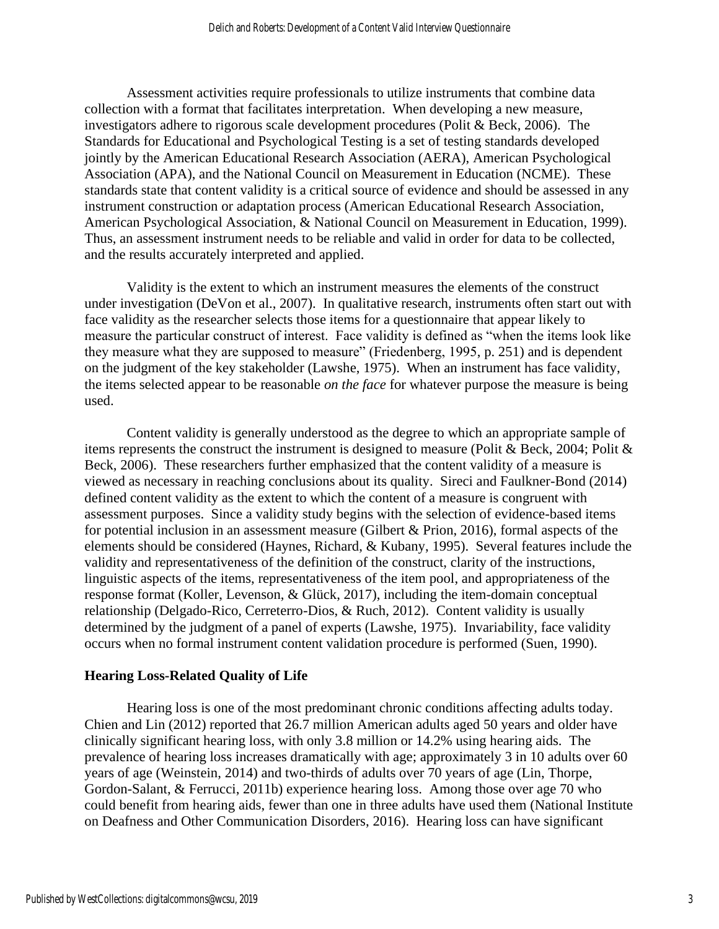Assessment activities require professionals to utilize instruments that combine data collection with a format that facilitates interpretation. When developing a new measure, investigators adhere to rigorous scale development procedures (Polit & Beck, 2006). The Standards for Educational and Psychological Testing is a set of testing standards developed jointly by the American Educational Research Association (AERA), American Psychological Association (APA), and the National Council on Measurement in Education (NCME). These standards state that content validity is a critical source of evidence and should be assessed in any instrument construction or adaptation process (American Educational Research Association, American Psychological Association, & National Council on Measurement in Education, 1999). Thus, an assessment instrument needs to be reliable and valid in order for data to be collected, and the results accurately interpreted and applied.

Validity is the extent to which an instrument measures the elements of the construct under investigation (DeVon et al., 2007). In qualitative research, instruments often start out with face validity as the researcher selects those items for a questionnaire that appear likely to measure the particular construct of interest. Face validity is defined as "when the items look like they measure what they are supposed to measure" (Friedenberg, 1995, p. 251) and is dependent on the judgment of the key stakeholder (Lawshe, 1975). When an instrument has face validity, the items selected appear to be reasonable *on the face* for whatever purpose the measure is being used.

Content validity is generally understood as the degree to which an appropriate sample of items represents the construct the instrument is designed to measure (Polit & Beck, 2004; Polit & Beck, 2006). These researchers further emphasized that the content validity of a measure is viewed as necessary in reaching conclusions about its quality. Sireci and Faulkner-Bond (2014) defined content validity as the extent to which the content of a measure is congruent with assessment purposes. Since a validity study begins with the selection of evidence-based items for potential inclusion in an assessment measure (Gilbert & Prion, 2016), formal aspects of the elements should be considered (Haynes, Richard, & Kubany, 1995). Several features include the validity and representativeness of the definition of the construct, clarity of the instructions, linguistic aspects of the items, representativeness of the item pool, and appropriateness of the response format (Koller, Levenson, & Glück, 2017), including the item-domain conceptual relationship (Delgado-Rico, Cerreterro-Dios, & Ruch, 2012). Content validity is usually determined by the judgment of a panel of experts (Lawshe, 1975). Invariability, face validity occurs when no formal instrument content validation procedure is performed (Suen, 1990).

## **Hearing Loss-Related Quality of Life**

Hearing loss is one of the most predominant chronic conditions affecting adults today. Chien and Lin (2012) reported that 26.7 million American adults aged 50 years and older have clinically significant hearing loss, with only 3.8 million or 14.2% using hearing aids. The prevalence of hearing loss increases dramatically with age; approximately 3 in 10 adults over 60 years of age (Weinstein, 2014) and two-thirds of adults over 70 years of age (Lin, Thorpe, Gordon-Salant, & Ferrucci, 2011b) experience hearing loss. Among those over age 70 who could benefit from hearing aids, fewer than one in three adults have used them (National Institute on Deafness and Other Communication Disorders, 2016). Hearing loss can have significant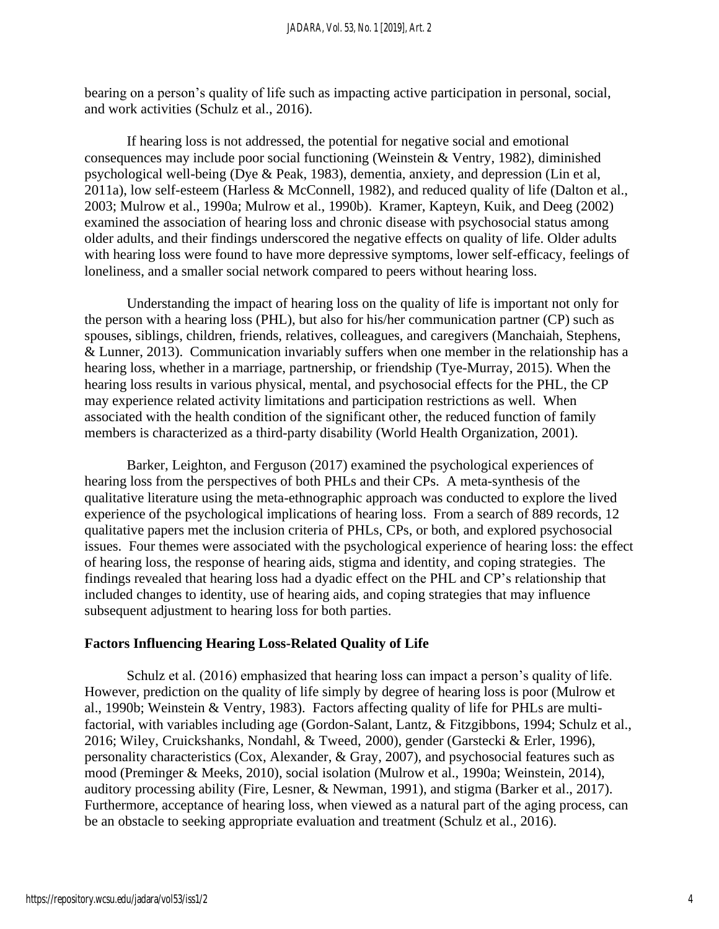bearing on a person's quality of life such as impacting active participation in personal, social, and work activities (Schulz et al., 2016).

If hearing loss is not addressed, the potential for negative social and emotional consequences may include poor social functioning (Weinstein & Ventry, 1982), diminished psychological well-being (Dye & Peak, 1983), dementia, anxiety, and depression (Lin et al, 2011a), low self-esteem (Harless & McConnell, 1982), and reduced quality of life (Dalton et al., 2003; Mulrow et al., 1990a; Mulrow et al., 1990b). Kramer, Kapteyn, Kuik, and Deeg (2002) examined the association of hearing loss and chronic disease with psychosocial status among older adults, and their findings underscored the negative effects on quality of life. Older adults with hearing loss were found to have more depressive symptoms, lower self-efficacy, feelings of loneliness, and a smaller social network compared to peers without hearing loss.

Understanding the impact of hearing loss on the quality of life is important not only for the person with a hearing loss (PHL), but also for his/her communication partner (CP) such as spouses, siblings, children, friends, relatives, colleagues, and caregivers (Manchaiah, Stephens, & Lunner, 2013). Communication invariably suffers when one member in the relationship has a hearing loss, whether in a marriage, partnership, or friendship (Tye-Murray, 2015). When the hearing loss results in various physical, mental, and psychosocial effects for the PHL, the CP may experience related activity limitations and participation restrictions as well. When associated with the health condition of the significant other, the reduced function of family members is characterized as a third-party disability (World Health Organization, 2001).

Barker, Leighton, and Ferguson (2017) examined the psychological experiences of hearing loss from the perspectives of both PHLs and their CPs. A meta-synthesis of the qualitative literature using the meta-ethnographic approach was conducted to explore the lived experience of the psychological implications of hearing loss. From a search of 889 records, 12 qualitative papers met the inclusion criteria of PHLs, CPs, or both, and explored psychosocial issues. Four themes were associated with the psychological experience of hearing loss: the effect of hearing loss, the response of hearing aids, stigma and identity, and coping strategies. The findings revealed that hearing loss had a dyadic effect on the PHL and CP's relationship that included changes to identity, use of hearing aids, and coping strategies that may influence subsequent adjustment to hearing loss for both parties.

# **Factors Influencing Hearing Loss-Related Quality of Life**

Schulz et al. (2016) emphasized that hearing loss can impact a person's quality of life. However, prediction on the quality of life simply by degree of hearing loss is poor (Mulrow et al., 1990b; Weinstein & Ventry, 1983). Factors affecting quality of life for PHLs are multifactorial, with variables including age (Gordon-Salant, Lantz, & Fitzgibbons, 1994; Schulz et al., 2016; Wiley, Cruickshanks, Nondahl, & Tweed, 2000), gender (Garstecki & Erler, 1996), personality characteristics (Cox, Alexander, & Gray, 2007), and psychosocial features such as mood (Preminger & Meeks, 2010), social isolation (Mulrow et al., 1990a; Weinstein, 2014), auditory processing ability (Fire, Lesner, & Newman, 1991), and stigma (Barker et al., 2017). Furthermore, acceptance of hearing loss, when viewed as a natural part of the aging process, can be an obstacle to seeking appropriate evaluation and treatment (Schulz et al., 2016).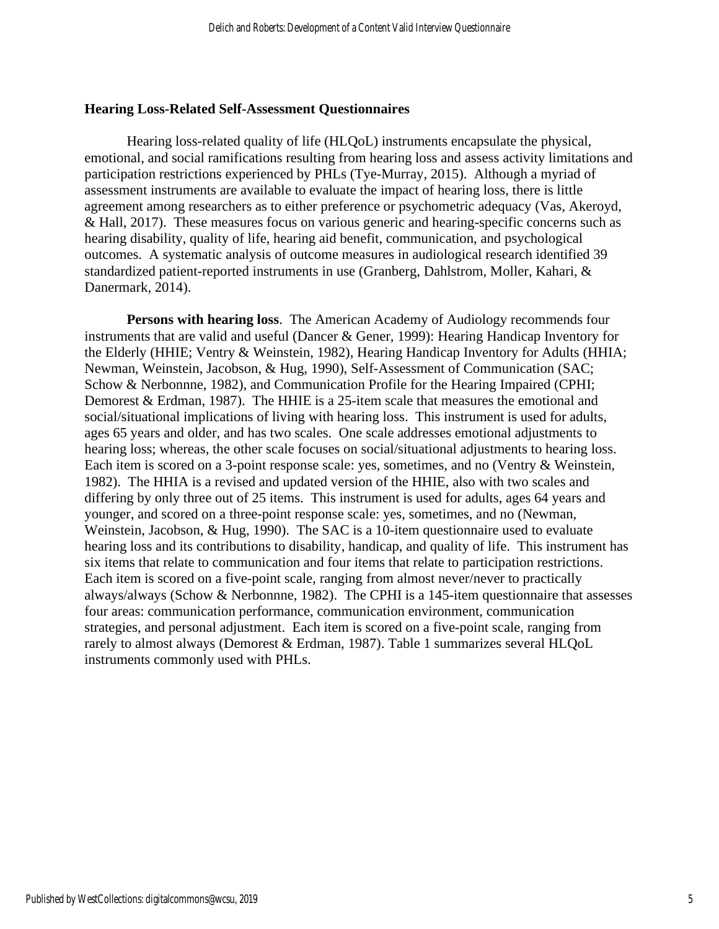## **Hearing Loss-Related Self-Assessment Questionnaires**

Hearing loss-related quality of life (HLQoL) instruments encapsulate the physical, emotional, and social ramifications resulting from hearing loss and assess activity limitations and participation restrictions experienced by PHLs (Tye-Murray, 2015). Although a myriad of assessment instruments are available to evaluate the impact of hearing loss, there is little agreement among researchers as to either preference or psychometric adequacy (Vas, Akeroyd, & Hall, 2017). These measures focus on various generic and hearing-specific concerns such as hearing disability, quality of life, hearing aid benefit, communication, and psychological outcomes. A systematic analysis of outcome measures in audiological research identified 39 standardized patient-reported instruments in use (Granberg, Dahlstrom, Moller, Kahari, & Danermark, 2014).

**Persons with hearing loss**. The American Academy of Audiology recommends four instruments that are valid and useful (Dancer & Gener, 1999): Hearing Handicap Inventory for the Elderly (HHIE; Ventry & Weinstein, 1982), Hearing Handicap Inventory for Adults (HHIA; Newman, Weinstein, Jacobson, & Hug, 1990), Self-Assessment of Communication (SAC; Schow & Nerbonnne, 1982), and Communication Profile for the Hearing Impaired (CPHI; Demorest & Erdman, 1987). The HHIE is a 25-item scale that measures the emotional and social/situational implications of living with hearing loss. This instrument is used for adults, ages 65 years and older, and has two scales. One scale addresses emotional adjustments to hearing loss; whereas, the other scale focuses on social/situational adjustments to hearing loss. Each item is scored on a 3-point response scale: yes, sometimes, and no (Ventry & Weinstein, 1982). The HHIA is a revised and updated version of the HHIE, also with two scales and differing by only three out of 25 items. This instrument is used for adults, ages 64 years and younger, and scored on a three-point response scale: yes, sometimes, and no (Newman, Weinstein, Jacobson, & Hug, 1990). The SAC is a 10-item questionnaire used to evaluate hearing loss and its contributions to disability, handicap, and quality of life. This instrument has six items that relate to communication and four items that relate to participation restrictions. Each item is scored on a five-point scale, ranging from almost never/never to practically always/always (Schow & Nerbonnne, 1982). The CPHI is a 145-item questionnaire that assesses four areas: communication performance, communication environment, communication strategies, and personal adjustment. Each item is scored on a five-point scale, ranging from rarely to almost always (Demorest & Erdman, 1987). Table 1 summarizes several HLQoL instruments commonly used with PHLs.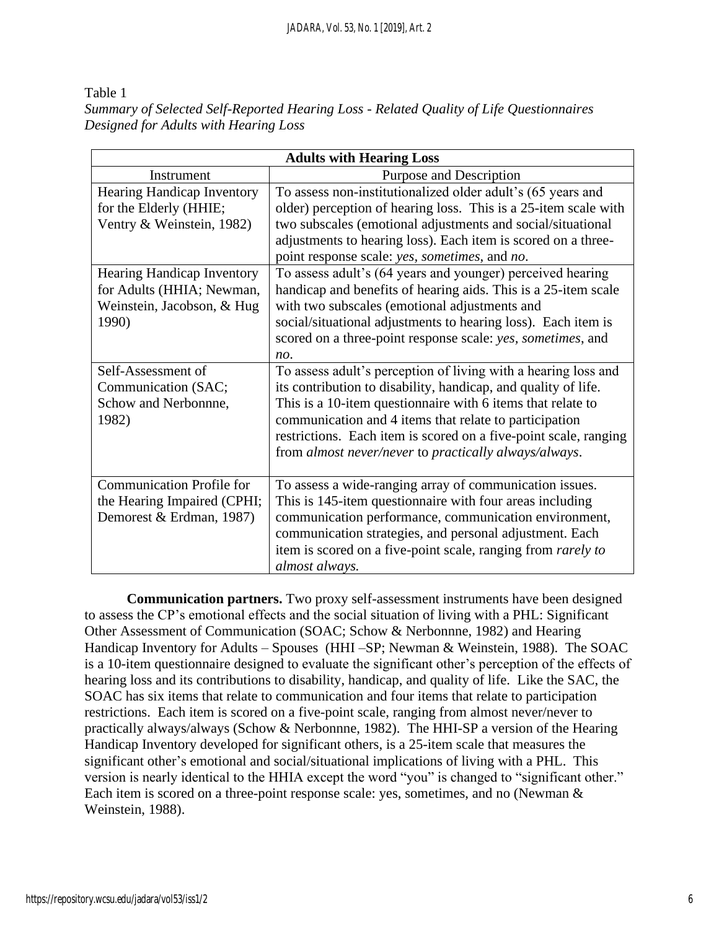Table 1 *Summary of Selected Self-Reported Hearing Loss - Related Quality of Life Questionnaires Designed for Adults with Hearing Loss* 

| <b>Adults with Hearing Loss</b>                                                                       |                                                                                                                                                                                                                                                                                                                                                                                        |  |  |  |  |
|-------------------------------------------------------------------------------------------------------|----------------------------------------------------------------------------------------------------------------------------------------------------------------------------------------------------------------------------------------------------------------------------------------------------------------------------------------------------------------------------------------|--|--|--|--|
| Instrument                                                                                            | Purpose and Description                                                                                                                                                                                                                                                                                                                                                                |  |  |  |  |
| Hearing Handicap Inventory<br>for the Elderly (HHIE;<br>Ventry & Weinstein, 1982)                     | To assess non-institutionalized older adult's (65 years and<br>older) perception of hearing loss. This is a 25-item scale with<br>two subscales (emotional adjustments and social/situational<br>adjustments to hearing loss). Each item is scored on a three-<br>point response scale: yes, sometimes, and no.                                                                        |  |  |  |  |
| <b>Hearing Handicap Inventory</b><br>for Adults (HHIA; Newman,<br>Weinstein, Jacobson, & Hug<br>1990) | To assess adult's (64 years and younger) perceived hearing<br>handicap and benefits of hearing aids. This is a 25-item scale<br>with two subscales (emotional adjustments and<br>social/situational adjustments to hearing loss). Each item is<br>scored on a three-point response scale: yes, sometimes, and<br>no.                                                                   |  |  |  |  |
| Self-Assessment of<br>Communication (SAC;<br>Schow and Nerbonnne,<br>1982)                            | To assess adult's perception of living with a hearing loss and<br>its contribution to disability, handicap, and quality of life.<br>This is a 10-item questionnaire with 6 items that relate to<br>communication and 4 items that relate to participation<br>restrictions. Each item is scored on a five-point scale, ranging<br>from almost never/never to practically always/always. |  |  |  |  |
| <b>Communication Profile for</b><br>the Hearing Impaired (CPHI;<br>Demorest & Erdman, 1987)           | To assess a wide-ranging array of communication issues.<br>This is 145-item questionnaire with four areas including<br>communication performance, communication environment,<br>communication strategies, and personal adjustment. Each<br>item is scored on a five-point scale, ranging from rarely to<br>almost always.                                                              |  |  |  |  |

**Communication partners.** Two proxy self-assessment instruments have been designed to assess the CP's emotional effects and the social situation of living with a PHL: Significant Other Assessment of Communication (SOAC; Schow & Nerbonnne, 1982) and Hearing Handicap Inventory for Adults – Spouses (HHI –SP; Newman & Weinstein, 1988). The SOAC is a 10-item questionnaire designed to evaluate the significant other's perception of the effects of hearing loss and its contributions to disability, handicap, and quality of life. Like the SAC, the SOAC has six items that relate to communication and four items that relate to participation restrictions. Each item is scored on a five-point scale, ranging from almost never/never to practically always/always (Schow & Nerbonnne, 1982). The HHI-SP a version of the Hearing Handicap Inventory developed for significant others, is a 25-item scale that measures the significant other's emotional and social/situational implications of living with a PHL. This version is nearly identical to the HHIA except the word "you" is changed to "significant other." Each item is scored on a three-point response scale: yes, sometimes, and no (Newman & Weinstein, 1988).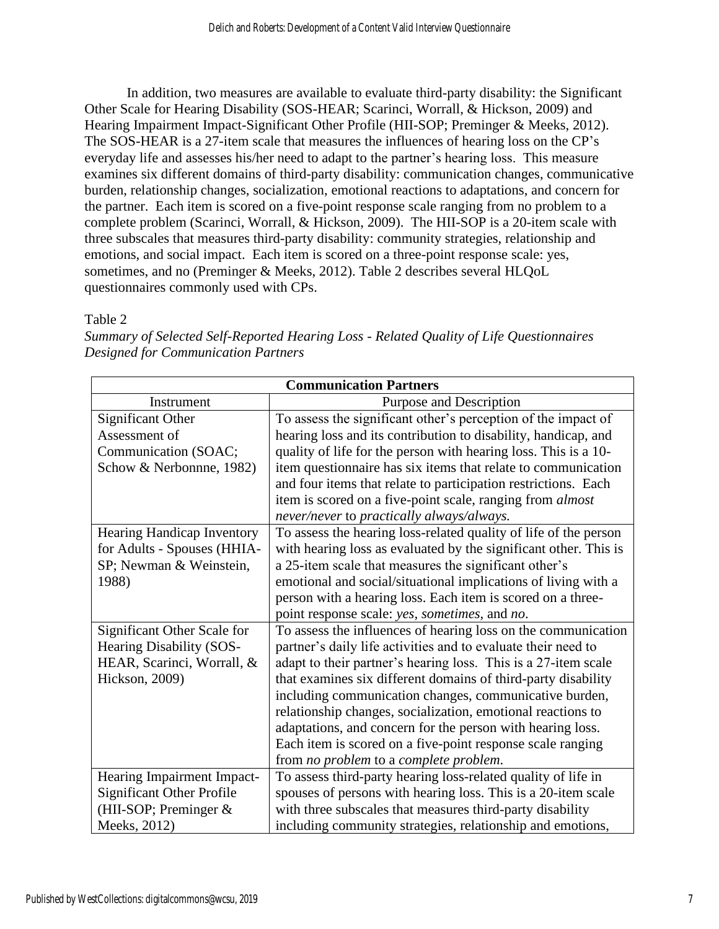In addition, two measures are available to evaluate third-party disability: the Significant Other Scale for Hearing Disability (SOS-HEAR; Scarinci, Worrall, & Hickson, 2009) and Hearing Impairment Impact-Significant Other Profile (HII-SOP; Preminger & Meeks, 2012). The SOS-HEAR is a 27-item scale that measures the influences of hearing loss on the CP's everyday life and assesses his/her need to adapt to the partner's hearing loss. This measure examines six different domains of third-party disability: communication changes, communicative burden, relationship changes, socialization, emotional reactions to adaptations, and concern for the partner. Each item is scored on a five-point response scale ranging from no problem to a complete problem (Scarinci, Worrall, & Hickson, 2009). The HII-SOP is a 20-item scale with three subscales that measures third-party disability: community strategies, relationship and emotions, and social impact. Each item is scored on a three-point response scale: yes, sometimes, and no (Preminger & Meeks, 2012). Table 2 describes several HLQoL questionnaires commonly used with CPs.

Table 2

*Summary of Selected Self-Reported Hearing Loss - Related Quality of Life Questionnaires Designed for Communication Partners*

| <b>Communication Partners</b>    |                                                                  |  |  |  |  |
|----------------------------------|------------------------------------------------------------------|--|--|--|--|
| Instrument                       | Purpose and Description                                          |  |  |  |  |
| <b>Significant Other</b>         | To assess the significant other's perception of the impact of    |  |  |  |  |
| Assessment of                    | hearing loss and its contribution to disability, handicap, and   |  |  |  |  |
| Communication (SOAC;             | quality of life for the person with hearing loss. This is a 10-  |  |  |  |  |
| Schow & Nerbonnne, 1982)         | item questionnaire has six items that relate to communication    |  |  |  |  |
|                                  | and four items that relate to participation restrictions. Each   |  |  |  |  |
|                                  | item is scored on a five-point scale, ranging from <i>almost</i> |  |  |  |  |
|                                  | never/never to practically always/always.                        |  |  |  |  |
| Hearing Handicap Inventory       | To assess the hearing loss-related quality of life of the person |  |  |  |  |
| for Adults - Spouses (HHIA-      | with hearing loss as evaluated by the significant other. This is |  |  |  |  |
| SP; Newman & Weinstein,          | a 25-item scale that measures the significant other's            |  |  |  |  |
| 1988)                            | emotional and social/situational implications of living with a   |  |  |  |  |
|                                  | person with a hearing loss. Each item is scored on a three-      |  |  |  |  |
|                                  | point response scale: yes, sometimes, and no.                    |  |  |  |  |
| Significant Other Scale for      | To assess the influences of hearing loss on the communication    |  |  |  |  |
| Hearing Disability (SOS-         | partner's daily life activities and to evaluate their need to    |  |  |  |  |
| HEAR, Scarinci, Worrall, &       | adapt to their partner's hearing loss. This is a 27-item scale   |  |  |  |  |
| Hickson, 2009)                   | that examines six different domains of third-party disability    |  |  |  |  |
|                                  | including communication changes, communicative burden,           |  |  |  |  |
|                                  | relationship changes, socialization, emotional reactions to      |  |  |  |  |
|                                  | adaptations, and concern for the person with hearing loss.       |  |  |  |  |
|                                  | Each item is scored on a five-point response scale ranging       |  |  |  |  |
|                                  | from no problem to a complete problem.                           |  |  |  |  |
| Hearing Impairment Impact-       | To assess third-party hearing loss-related quality of life in    |  |  |  |  |
| <b>Significant Other Profile</b> | spouses of persons with hearing loss. This is a 20-item scale    |  |  |  |  |
| (HII-SOP; Preminger &            | with three subscales that measures third-party disability        |  |  |  |  |
| Meeks, 2012)                     | including community strategies, relationship and emotions,       |  |  |  |  |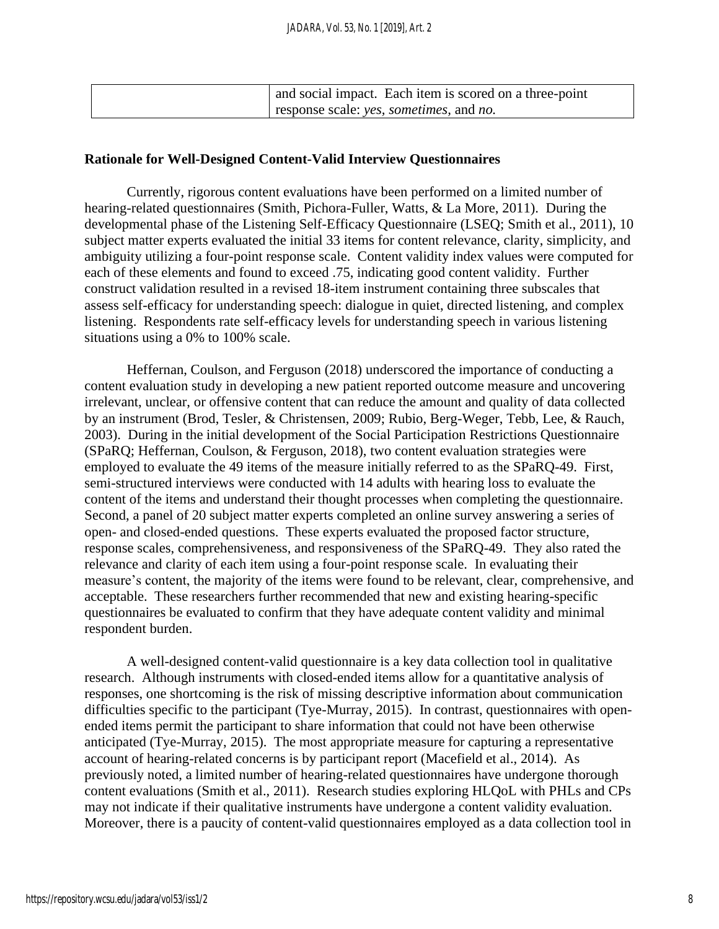| and social impact. Each item is scored on a three-point |
|---------------------------------------------------------|
| response scale: yes, sometimes, and no.                 |

## **Rationale for Well-Designed Content-Valid Interview Questionnaires**

Currently, rigorous content evaluations have been performed on a limited number of hearing-related questionnaires (Smith, Pichora-Fuller, Watts, & La More, 2011). During the developmental phase of the Listening Self-Efficacy Questionnaire (LSEQ; Smith et al., 2011), 10 subject matter experts evaluated the initial 33 items for content relevance, clarity, simplicity, and ambiguity utilizing a four-point response scale. Content validity index values were computed for each of these elements and found to exceed .75, indicating good content validity. Further construct validation resulted in a revised 18-item instrument containing three subscales that assess self-efficacy for understanding speech: dialogue in quiet, directed listening, and complex listening. Respondents rate self-efficacy levels for understanding speech in various listening situations using a 0% to 100% scale.

Heffernan, Coulson, and Ferguson (2018) underscored the importance of conducting a content evaluation study in developing a new patient reported outcome measure and uncovering irrelevant, unclear, or offensive content that can reduce the amount and quality of data collected by an instrument (Brod, Tesler, & Christensen, 2009; Rubio, Berg-Weger, Tebb, Lee, & Rauch, 2003). During in the initial development of the Social Participation Restrictions Questionnaire (SPaRQ; Heffernan, Coulson, & Ferguson, 2018), two content evaluation strategies were employed to evaluate the 49 items of the measure initially referred to as the SPaRQ-49. First, semi-structured interviews were conducted with 14 adults with hearing loss to evaluate the content of the items and understand their thought processes when completing the questionnaire. Second, a panel of 20 subject matter experts completed an online survey answering a series of open- and closed-ended questions. These experts evaluated the proposed factor structure, response scales, comprehensiveness, and responsiveness of the SPaRQ-49. They also rated the relevance and clarity of each item using a four-point response scale. In evaluating their measure's content, the majority of the items were found to be relevant, clear, comprehensive, and acceptable. These researchers further recommended that new and existing hearing-specific questionnaires be evaluated to confirm that they have adequate content validity and minimal respondent burden.

A well-designed content-valid questionnaire is a key data collection tool in qualitative research. Although instruments with closed-ended items allow for a quantitative analysis of responses, one shortcoming is the risk of missing descriptive information about communication difficulties specific to the participant (Tye-Murray, 2015). In contrast, questionnaires with openended items permit the participant to share information that could not have been otherwise anticipated (Tye-Murray, 2015). The most appropriate measure for capturing a representative account of hearing-related concerns is by participant report (Macefield et al., 2014). As previously noted, a limited number of hearing-related questionnaires have undergone thorough content evaluations (Smith et al., 2011). Research studies exploring HLQoL with PHLs and CPs may not indicate if their qualitative instruments have undergone a content validity evaluation. Moreover, there is a paucity of content-valid questionnaires employed as a data collection tool in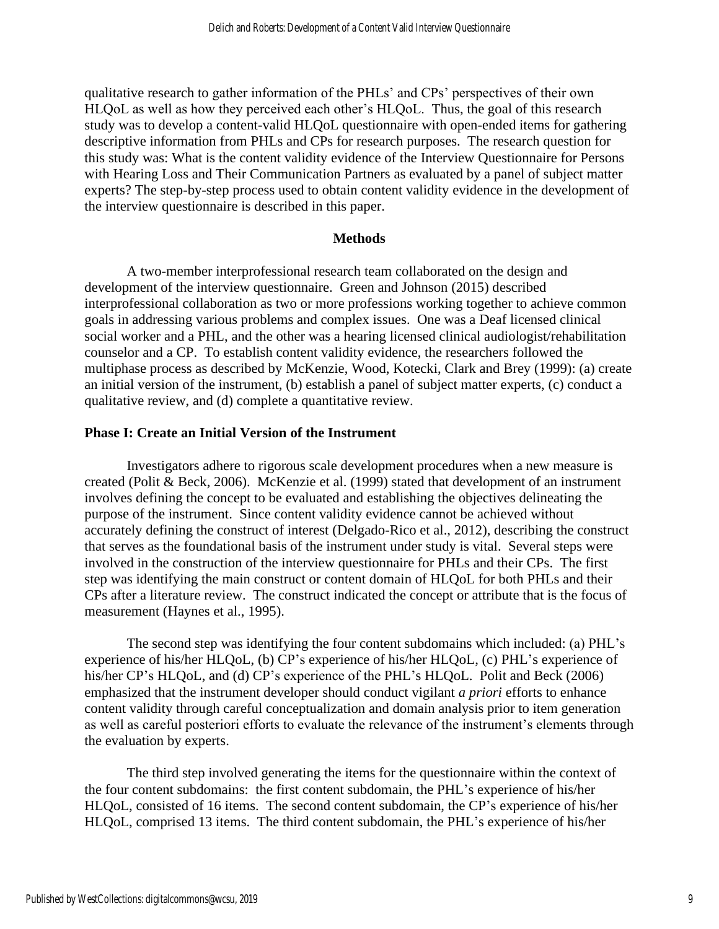qualitative research to gather information of the PHLs' and CPs' perspectives of their own HLQoL as well as how they perceived each other's HLQoL. Thus, the goal of this research study was to develop a content-valid HLQoL questionnaire with open-ended items for gathering descriptive information from PHLs and CPs for research purposes. The research question for this study was: What is the content validity evidence of the Interview Questionnaire for Persons with Hearing Loss and Their Communication Partners as evaluated by a panel of subject matter experts? The step-by-step process used to obtain content validity evidence in the development of the interview questionnaire is described in this paper.

## **Methods**

A two-member interprofessional research team collaborated on the design and development of the interview questionnaire. Green and Johnson (2015) described interprofessional collaboration as two or more professions working together to achieve common goals in addressing various problems and complex issues. One was a Deaf licensed clinical social worker and a PHL, and the other was a hearing licensed clinical audiologist/rehabilitation counselor and a CP. To establish content validity evidence, the researchers followed the multiphase process as described by McKenzie, Wood, Kotecki, Clark and Brey (1999): (a) create an initial version of the instrument, (b) establish a panel of subject matter experts, (c) conduct a qualitative review, and (d) complete a quantitative review.

## **Phase I: Create an Initial Version of the Instrument**

Investigators adhere to rigorous scale development procedures when a new measure is created (Polit & Beck, 2006). McKenzie et al. (1999) stated that development of an instrument involves defining the concept to be evaluated and establishing the objectives delineating the purpose of the instrument. Since content validity evidence cannot be achieved without accurately defining the construct of interest (Delgado-Rico et al., 2012), describing the construct that serves as the foundational basis of the instrument under study is vital. Several steps were involved in the construction of the interview questionnaire for PHLs and their CPs. The first step was identifying the main construct or content domain of HLQoL for both PHLs and their CPs after a literature review. The construct indicated the concept or attribute that is the focus of measurement (Haynes et al., 1995).

The second step was identifying the four content subdomains which included: (a) PHL's experience of his/her HLQoL, (b) CP's experience of his/her HLQoL, (c) PHL's experience of his/her CP's HLQoL, and (d) CP's experience of the PHL's HLQoL. Polit and Beck (2006) emphasized that the instrument developer should conduct vigilant *a priori* efforts to enhance content validity through careful conceptualization and domain analysis prior to item generation as well as careful posteriori efforts to evaluate the relevance of the instrument's elements through the evaluation by experts.

The third step involved generating the items for the questionnaire within the context of the four content subdomains: the first content subdomain, the PHL's experience of his/her HLQoL, consisted of 16 items. The second content subdomain, the CP's experience of his/her HLQoL, comprised 13 items. The third content subdomain, the PHL's experience of his/her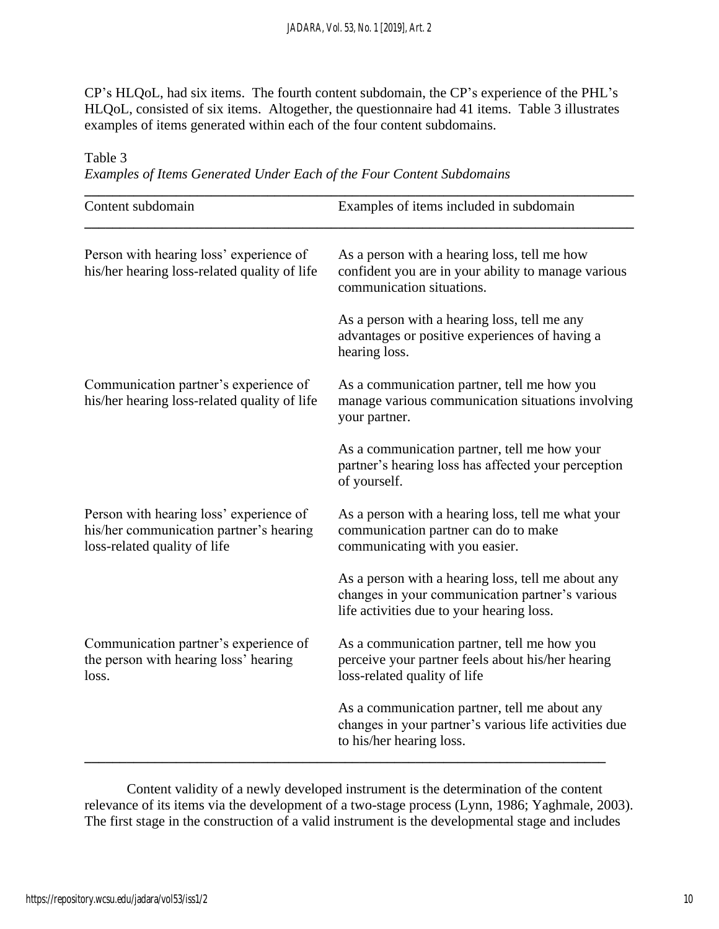CP's HLQoL, had six items. The fourth content subdomain, the CP's experience of the PHL's HLQoL, consisted of six items. Altogether, the questionnaire had 41 items. Table 3 illustrates examples of items generated within each of the four content subdomains.

Table 3

| Examples of Items Generated Under Each of the Four Content Subdomains |  |
|-----------------------------------------------------------------------|--|
|-----------------------------------------------------------------------|--|

| Content subdomain                                                                                                  | Examples of items included in subdomain                                                                                                            |  |  |
|--------------------------------------------------------------------------------------------------------------------|----------------------------------------------------------------------------------------------------------------------------------------------------|--|--|
| Person with hearing loss' experience of<br>his/her hearing loss-related quality of life                            | As a person with a hearing loss, tell me how<br>confident you are in your ability to manage various<br>communication situations.                   |  |  |
|                                                                                                                    | As a person with a hearing loss, tell me any<br>advantages or positive experiences of having a<br>hearing loss.                                    |  |  |
| Communication partner's experience of<br>his/her hearing loss-related quality of life                              | As a communication partner, tell me how you<br>manage various communication situations involving<br>your partner.                                  |  |  |
|                                                                                                                    | As a communication partner, tell me how your<br>partner's hearing loss has affected your perception<br>of yourself.                                |  |  |
| Person with hearing loss' experience of<br>his/her communication partner's hearing<br>loss-related quality of life | As a person with a hearing loss, tell me what your<br>communication partner can do to make<br>communicating with you easier.                       |  |  |
|                                                                                                                    | As a person with a hearing loss, tell me about any<br>changes in your communication partner's various<br>life activities due to your hearing loss. |  |  |
| Communication partner's experience of<br>the person with hearing loss' hearing<br>loss.                            | As a communication partner, tell me how you<br>perceive your partner feels about his/her hearing<br>loss-related quality of life                   |  |  |
|                                                                                                                    | As a communication partner, tell me about any<br>changes in your partner's various life activities due<br>to his/her hearing loss.                 |  |  |

Content validity of a newly developed instrument is the determination of the content relevance of its items via the development of a two-stage process (Lynn, 1986; Yaghmale, 2003). The first stage in the construction of a valid instrument is the developmental stage and includes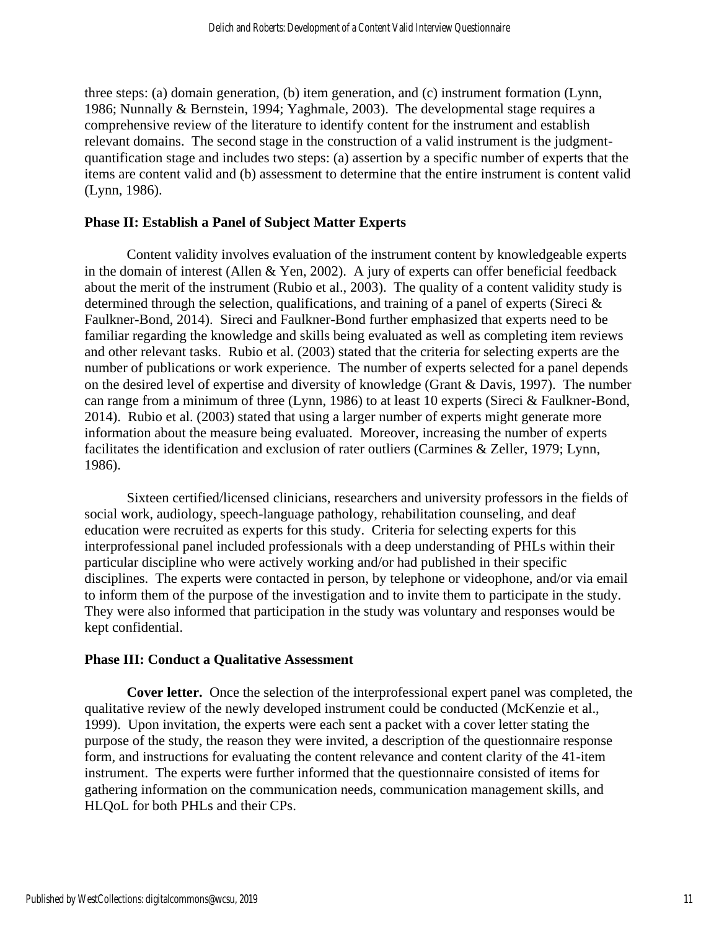three steps: (a) domain generation, (b) item generation, and (c) instrument formation (Lynn, 1986; Nunnally & Bernstein, 1994; Yaghmale, 2003). The developmental stage requires a comprehensive review of the literature to identify content for the instrument and establish relevant domains. The second stage in the construction of a valid instrument is the judgmentquantification stage and includes two steps: (a) assertion by a specific number of experts that the items are content valid and (b) assessment to determine that the entire instrument is content valid (Lynn, 1986).

## **Phase II: Establish a Panel of Subject Matter Experts**

Content validity involves evaluation of the instrument content by knowledgeable experts in the domain of interest (Allen & Yen, 2002). A jury of experts can offer beneficial feedback about the merit of the instrument (Rubio et al., 2003). The quality of a content validity study is determined through the selection, qualifications, and training of a panel of experts (Sireci & Faulkner-Bond, 2014). Sireci and Faulkner-Bond further emphasized that experts need to be familiar regarding the knowledge and skills being evaluated as well as completing item reviews and other relevant tasks. Rubio et al. (2003) stated that the criteria for selecting experts are the number of publications or work experience. The number of experts selected for a panel depends on the desired level of expertise and diversity of knowledge (Grant & Davis, 1997). The number can range from a minimum of three (Lynn, 1986) to at least 10 experts (Sireci & Faulkner-Bond, 2014). Rubio et al. (2003) stated that using a larger number of experts might generate more information about the measure being evaluated. Moreover, increasing the number of experts facilitates the identification and exclusion of rater outliers (Carmines & Zeller, 1979; Lynn, 1986).

Sixteen certified/licensed clinicians, researchers and university professors in the fields of social work, audiology, speech-language pathology, rehabilitation counseling, and deaf education were recruited as experts for this study. Criteria for selecting experts for this interprofessional panel included professionals with a deep understanding of PHLs within their particular discipline who were actively working and/or had published in their specific disciplines. The experts were contacted in person, by telephone or videophone, and/or via email to inform them of the purpose of the investigation and to invite them to participate in the study. They were also informed that participation in the study was voluntary and responses would be kept confidential.

## **Phase III: Conduct a Qualitative Assessment**

**Cover letter.** Once the selection of the interprofessional expert panel was completed, the qualitative review of the newly developed instrument could be conducted (McKenzie et al., 1999). Upon invitation, the experts were each sent a packet with a cover letter stating the purpose of the study, the reason they were invited, a description of the questionnaire response form, and instructions for evaluating the content relevance and content clarity of the 41-item instrument. The experts were further informed that the questionnaire consisted of items for gathering information on the communication needs, communication management skills, and HLQoL for both PHLs and their CPs.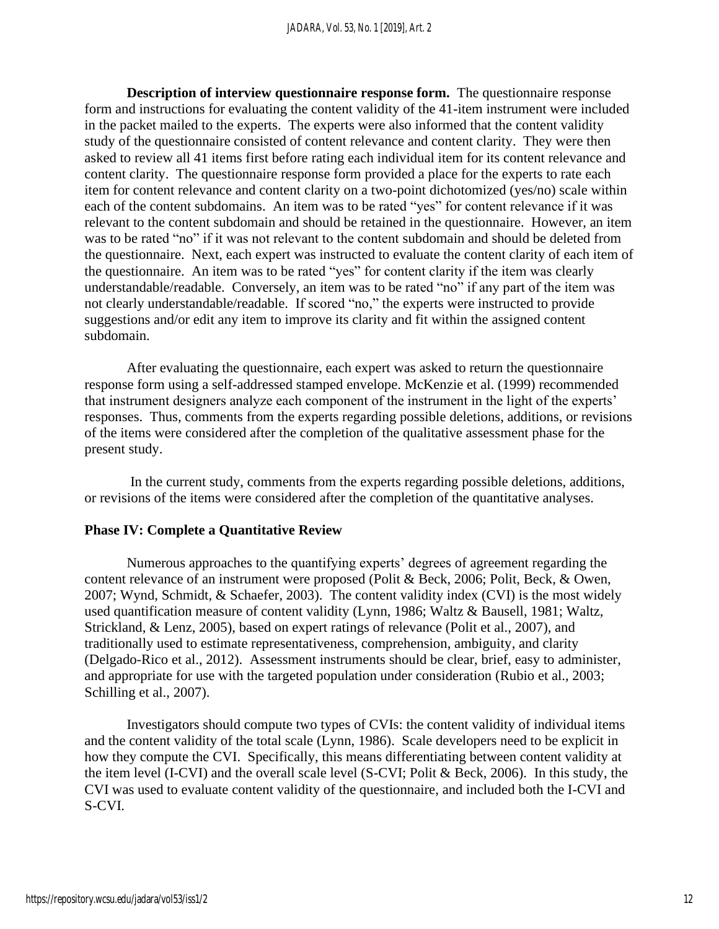**Description of interview questionnaire response form.** The questionnaire response form and instructions for evaluating the content validity of the 41-item instrument were included in the packet mailed to the experts. The experts were also informed that the content validity study of the questionnaire consisted of content relevance and content clarity. They were then asked to review all 41 items first before rating each individual item for its content relevance and content clarity. The questionnaire response form provided a place for the experts to rate each item for content relevance and content clarity on a two-point dichotomized (yes/no) scale within each of the content subdomains. An item was to be rated "yes" for content relevance if it was relevant to the content subdomain and should be retained in the questionnaire. However, an item was to be rated "no" if it was not relevant to the content subdomain and should be deleted from the questionnaire. Next, each expert was instructed to evaluate the content clarity of each item of the questionnaire. An item was to be rated "yes" for content clarity if the item was clearly understandable/readable. Conversely, an item was to be rated "no" if any part of the item was not clearly understandable/readable. If scored "no," the experts were instructed to provide suggestions and/or edit any item to improve its clarity and fit within the assigned content subdomain.

After evaluating the questionnaire, each expert was asked to return the questionnaire response form using a self-addressed stamped envelope. McKenzie et al. (1999) recommended that instrument designers analyze each component of the instrument in the light of the experts' responses. Thus, comments from the experts regarding possible deletions, additions, or revisions of the items were considered after the completion of the qualitative assessment phase for the present study.

In the current study, comments from the experts regarding possible deletions, additions, or revisions of the items were considered after the completion of the quantitative analyses.

## **Phase IV: Complete a Quantitative Review**

Numerous approaches to the quantifying experts' degrees of agreement regarding the content relevance of an instrument were proposed (Polit & Beck, 2006; Polit, Beck, & Owen, 2007; Wynd, Schmidt, & Schaefer, 2003). The content validity index (CVI) is the most widely used quantification measure of content validity (Lynn, 1986; Waltz & Bausell, 1981; Waltz, Strickland, & Lenz, 2005), based on expert ratings of relevance (Polit et al., 2007), and traditionally used to estimate representativeness, comprehension, ambiguity, and clarity (Delgado-Rico et al., 2012). Assessment instruments should be clear, brief, easy to administer, and appropriate for use with the targeted population under consideration (Rubio et al., 2003; Schilling et al., 2007).

Investigators should compute two types of CVIs: the content validity of individual items and the content validity of the total scale (Lynn, 1986). Scale developers need to be explicit in how they compute the CVI. Specifically, this means differentiating between content validity at the item level (I-CVI) and the overall scale level (S-CVI; Polit & Beck, 2006). In this study, the CVI was used to evaluate content validity of the questionnaire, and included both the I-CVI and S-CVI.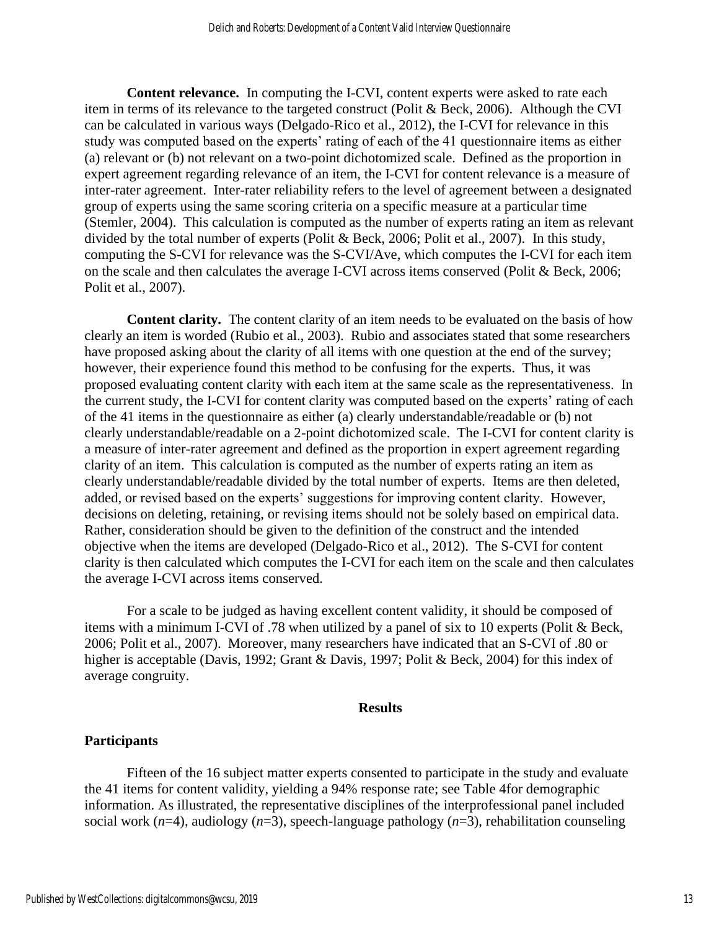**Content relevance.** In computing the I-CVI, content experts were asked to rate each item in terms of its relevance to the targeted construct (Polit & Beck, 2006). Although the CVI can be calculated in various ways (Delgado-Rico et al., 2012), the I-CVI for relevance in this study was computed based on the experts' rating of each of the 41 questionnaire items as either (a) relevant or (b) not relevant on a two-point dichotomized scale. Defined as the proportion in expert agreement regarding relevance of an item, the I-CVI for content relevance is a measure of inter-rater agreement. Inter-rater reliability refers to the level of agreement between a designated group of experts using the same scoring criteria on a specific measure at a particular time (Stemler, 2004). This calculation is computed as the number of experts rating an item as relevant divided by the total number of experts (Polit & Beck, 2006; Polit et al., 2007). In this study, computing the S-CVI for relevance was the S-CVI/Ave, which computes the I-CVI for each item on the scale and then calculates the average I-CVI across items conserved (Polit & Beck, 2006; Polit et al., 2007).

**Content clarity.** The content clarity of an item needs to be evaluated on the basis of how clearly an item is worded (Rubio et al., 2003). Rubio and associates stated that some researchers have proposed asking about the clarity of all items with one question at the end of the survey; however, their experience found this method to be confusing for the experts. Thus, it was proposed evaluating content clarity with each item at the same scale as the representativeness. In the current study, the I-CVI for content clarity was computed based on the experts' rating of each of the 41 items in the questionnaire as either (a) clearly understandable/readable or (b) not clearly understandable/readable on a 2-point dichotomized scale. The I-CVI for content clarity is a measure of inter-rater agreement and defined as the proportion in expert agreement regarding clarity of an item. This calculation is computed as the number of experts rating an item as clearly understandable/readable divided by the total number of experts. Items are then deleted, added, or revised based on the experts' suggestions for improving content clarity. However, decisions on deleting, retaining, or revising items should not be solely based on empirical data. Rather, consideration should be given to the definition of the construct and the intended objective when the items are developed (Delgado-Rico et al., 2012). The S-CVI for content clarity is then calculated which computes the I-CVI for each item on the scale and then calculates the average I-CVI across items conserved.

For a scale to be judged as having excellent content validity, it should be composed of items with a minimum I-CVI of .78 when utilized by a panel of six to 10 experts (Polit & Beck, 2006; Polit et al., 2007). Moreover, many researchers have indicated that an S-CVI of .80 or higher is acceptable (Davis, 1992; Grant & Davis, 1997; Polit & Beck, 2004) for this index of average congruity.

## **Results**

# **Participants**

Fifteen of the 16 subject matter experts consented to participate in the study and evaluate the 41 items for content validity, yielding a 94% response rate; see Table 4for demographic information. As illustrated, the representative disciplines of the interprofessional panel included social work (*n*=4), audiology (*n*=3), speech-language pathology (*n*=3), rehabilitation counseling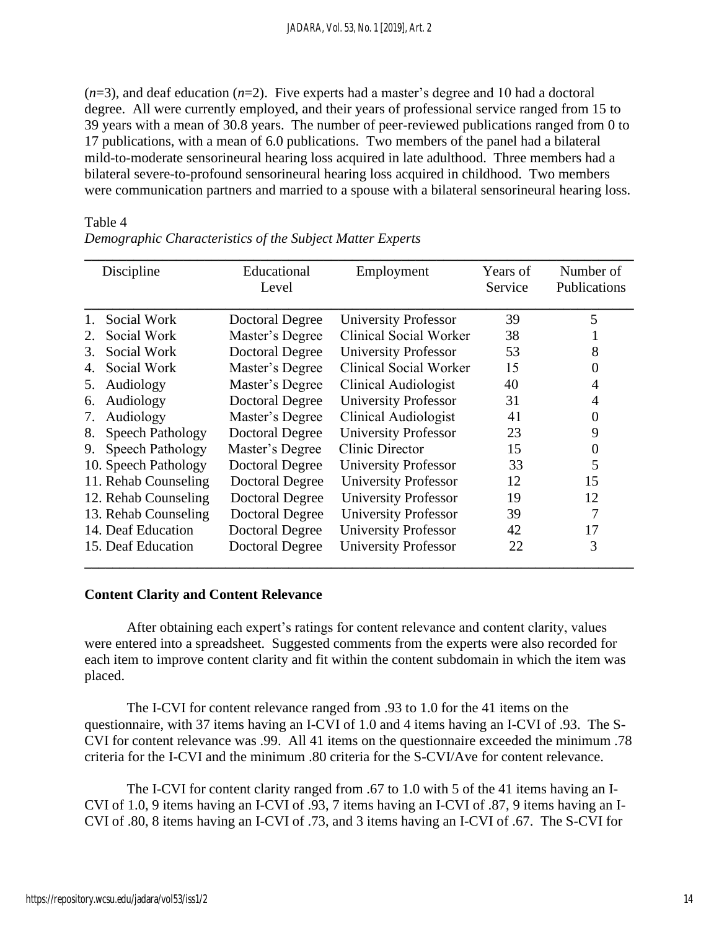$(n=3)$ , and deaf education  $(n=2)$ . Five experts had a master's degree and 10 had a doctoral degree. All were currently employed, and their years of professional service ranged from 15 to 39 years with a mean of 30.8 years. The number of peer-reviewed publications ranged from 0 to 17 publications, with a mean of 6.0 publications. Two members of the panel had a bilateral mild-to-moderate sensorineural hearing loss acquired in late adulthood. Three members had a bilateral severe-to-profound sensorineural hearing loss acquired in childhood. Two members were communication partners and married to a spouse with a bilateral sensorineural hearing loss.

#### Table 4

| Discipline |                      | Educational<br>Level   | Employment                  | Years of<br>Service | Number of<br>Publications |
|------------|----------------------|------------------------|-----------------------------|---------------------|---------------------------|
| 1.         | Social Work          | Doctoral Degree        | <b>University Professor</b> | 39                  | 5                         |
| 2.         | Social Work          | Master's Degree        | Clinical Social Worker      | 38                  |                           |
| 3.         | Social Work          | <b>Doctoral Degree</b> | <b>University Professor</b> | 53                  | 8                         |
| 4.         | Social Work          | Master's Degree        | Clinical Social Worker      | 15                  | $\theta$                  |
| 5.         | Audiology            | Master's Degree        | Clinical Audiologist        | 40                  | 4                         |
| 6.         | Audiology            | Doctoral Degree        | <b>University Professor</b> | 31                  | 4                         |
| 7.         | Audiology            | Master's Degree        | Clinical Audiologist        | 41                  | $\theta$                  |
| 8.         | Speech Pathology     | <b>Doctoral Degree</b> | <b>University Professor</b> | 23                  | 9                         |
| 9.         | Speech Pathology     | Master's Degree        | Clinic Director             | 15                  | $\theta$                  |
|            | 10. Speech Pathology | <b>Doctoral Degree</b> | University Professor        | 33                  | 5                         |
|            | 11. Rehab Counseling | Doctoral Degree        | <b>University Professor</b> | 12                  | 15                        |
|            | 12. Rehab Counseling | <b>Doctoral Degree</b> | <b>University Professor</b> | 19                  | 12                        |
|            | 13. Rehab Counseling | <b>Doctoral Degree</b> | <b>University Professor</b> | 39                  | 7                         |
|            | 14. Deaf Education   | <b>Doctoral Degree</b> | <b>University Professor</b> | 42                  | 17                        |
|            | 15. Deaf Education   | <b>Doctoral Degree</b> | <b>University Professor</b> | 22                  | 3                         |

*Demographic Characteristics of the Subject Matter Experts*

## **Content Clarity and Content Relevance**

After obtaining each expert's ratings for content relevance and content clarity, values were entered into a spreadsheet. Suggested comments from the experts were also recorded for each item to improve content clarity and fit within the content subdomain in which the item was placed.

The I-CVI for content relevance ranged from .93 to 1.0 for the 41 items on the questionnaire, with 37 items having an I-CVI of 1.0 and 4 items having an I-CVI of .93. The S-CVI for content relevance was .99. All 41 items on the questionnaire exceeded the minimum .78 criteria for the I-CVI and the minimum .80 criteria for the S-CVI/Ave for content relevance.

The I-CVI for content clarity ranged from .67 to 1.0 with 5 of the 41 items having an I-CVI of 1.0, 9 items having an I-CVI of .93, 7 items having an I-CVI of .87, 9 items having an I-CVI of .80, 8 items having an I-CVI of .73, and 3 items having an I-CVI of .67. The S-CVI for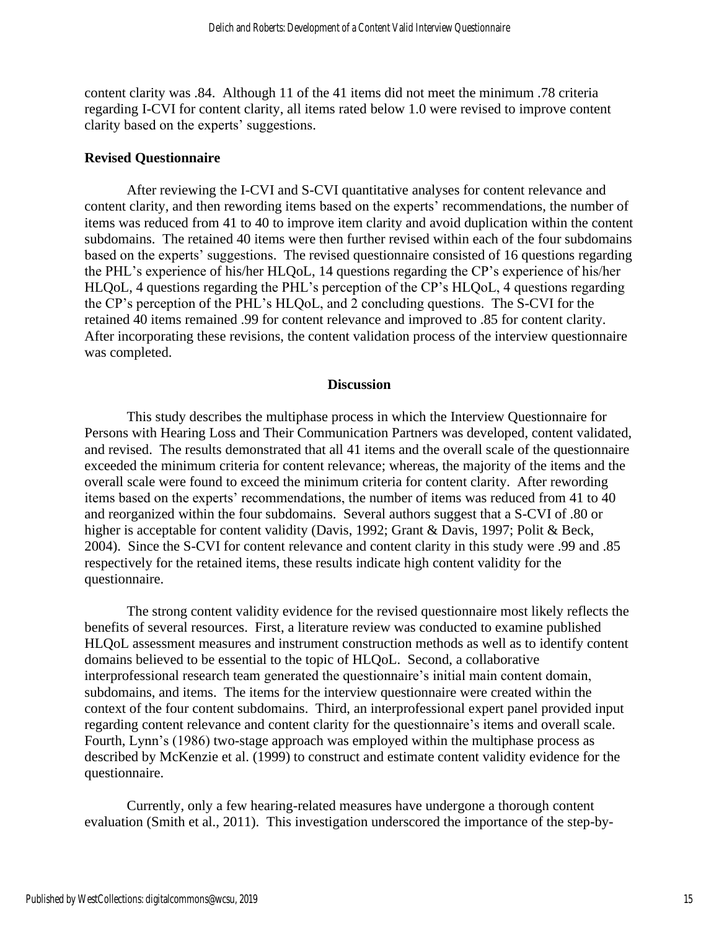content clarity was .84. Although 11 of the 41 items did not meet the minimum .78 criteria regarding I-CVI for content clarity, all items rated below 1.0 were revised to improve content clarity based on the experts' suggestions.

#### **Revised Questionnaire**

After reviewing the I-CVI and S-CVI quantitative analyses for content relevance and content clarity, and then rewording items based on the experts' recommendations, the number of items was reduced from 41 to 40 to improve item clarity and avoid duplication within the content subdomains. The retained 40 items were then further revised within each of the four subdomains based on the experts' suggestions. The revised questionnaire consisted of 16 questions regarding the PHL's experience of his/her HLQoL, 14 questions regarding the CP's experience of his/her HLQoL, 4 questions regarding the PHL's perception of the CP's HLQoL, 4 questions regarding the CP's perception of the PHL's HLQoL, and 2 concluding questions. The S-CVI for the retained 40 items remained .99 for content relevance and improved to .85 for content clarity. After incorporating these revisions, the content validation process of the interview questionnaire was completed.

#### **Discussion**

This study describes the multiphase process in which the Interview Questionnaire for Persons with Hearing Loss and Their Communication Partners was developed, content validated, and revised. The results demonstrated that all 41 items and the overall scale of the questionnaire exceeded the minimum criteria for content relevance; whereas, the majority of the items and the overall scale were found to exceed the minimum criteria for content clarity. After rewording items based on the experts' recommendations, the number of items was reduced from 41 to 40 and reorganized within the four subdomains. Several authors suggest that a S-CVI of .80 or higher is acceptable for content validity (Davis, 1992; Grant & Davis, 1997; Polit & Beck, 2004). Since the S-CVI for content relevance and content clarity in this study were .99 and .85 respectively for the retained items, these results indicate high content validity for the questionnaire.

The strong content validity evidence for the revised questionnaire most likely reflects the benefits of several resources. First, a literature review was conducted to examine published HLQoL assessment measures and instrument construction methods as well as to identify content domains believed to be essential to the topic of HLQoL. Second, a collaborative interprofessional research team generated the questionnaire's initial main content domain, subdomains, and items. The items for the interview questionnaire were created within the context of the four content subdomains. Third, an interprofessional expert panel provided input regarding content relevance and content clarity for the questionnaire's items and overall scale. Fourth, Lynn's (1986) two-stage approach was employed within the multiphase process as described by McKenzie et al. (1999) to construct and estimate content validity evidence for the questionnaire.

Currently, only a few hearing-related measures have undergone a thorough content evaluation (Smith et al., 2011). This investigation underscored the importance of the step-by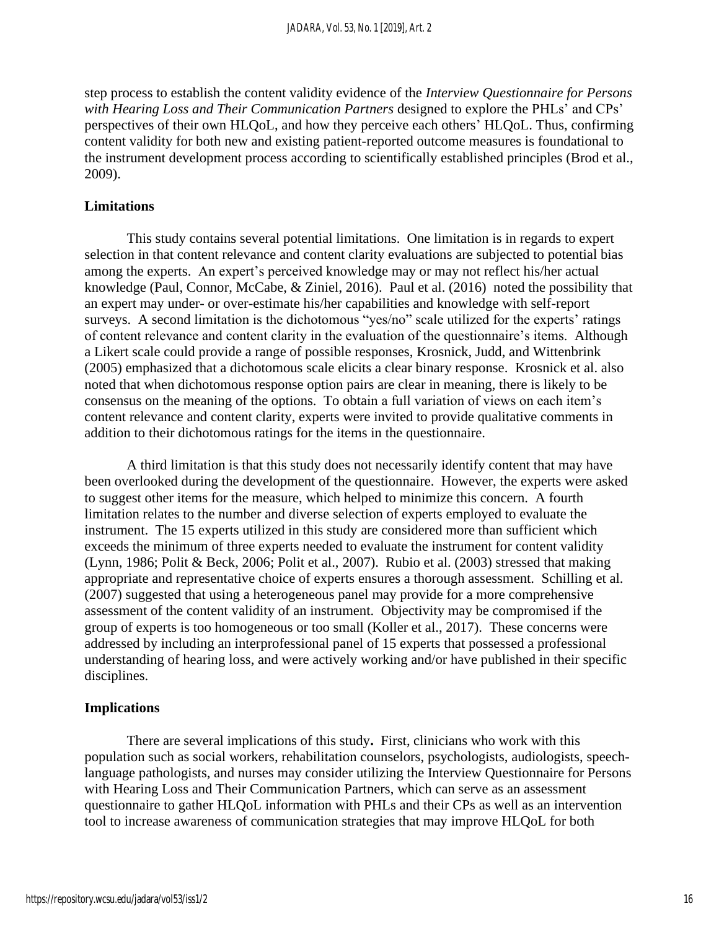step process to establish the content validity evidence of the *Interview Questionnaire for Persons with Hearing Loss and Their Communication Partners* designed to explore the PHLs' and CPs' perspectives of their own HLQoL, and how they perceive each others' HLQoL. Thus, confirming content validity for both new and existing patient-reported outcome measures is foundational to the instrument development process according to scientifically established principles (Brod et al., 2009).

## **Limitations**

This study contains several potential limitations. One limitation is in regards to expert selection in that content relevance and content clarity evaluations are subjected to potential bias among the experts. An expert's perceived knowledge may or may not reflect his/her actual knowledge (Paul, Connor, McCabe, & Ziniel, 2016). Paul et al. (2016) noted the possibility that an expert may under- or over-estimate his/her capabilities and knowledge with self-report surveys. A second limitation is the dichotomous "yes/no" scale utilized for the experts' ratings of content relevance and content clarity in the evaluation of the questionnaire's items. Although a Likert scale could provide a range of possible responses, Krosnick, Judd, and Wittenbrink (2005) emphasized that a dichotomous scale elicits a clear binary response. Krosnick et al. also noted that when dichotomous response option pairs are clear in meaning, there is likely to be consensus on the meaning of the options. To obtain a full variation of views on each item's content relevance and content clarity, experts were invited to provide qualitative comments in addition to their dichotomous ratings for the items in the questionnaire.

A third limitation is that this study does not necessarily identify content that may have been overlooked during the development of the questionnaire. However, the experts were asked to suggest other items for the measure, which helped to minimize this concern. A fourth limitation relates to the number and diverse selection of experts employed to evaluate the instrument. The 15 experts utilized in this study are considered more than sufficient which exceeds the minimum of three experts needed to evaluate the instrument for content validity (Lynn, 1986; Polit & Beck, 2006; Polit et al., 2007). Rubio et al. (2003) stressed that making appropriate and representative choice of experts ensures a thorough assessment. Schilling et al. (2007) suggested that using a heterogeneous panel may provide for a more comprehensive assessment of the content validity of an instrument. Objectivity may be compromised if the group of experts is too homogeneous or too small (Koller et al., 2017). These concerns were addressed by including an interprofessional panel of 15 experts that possessed a professional understanding of hearing loss, and were actively working and/or have published in their specific disciplines.

## **Implications**

There are several implications of this study**.** First, clinicians who work with this population such as social workers, rehabilitation counselors, psychologists, audiologists, speechlanguage pathologists, and nurses may consider utilizing the Interview Questionnaire for Persons with Hearing Loss and Their Communication Partners, which can serve as an assessment questionnaire to gather HLQoL information with PHLs and their CPs as well as an intervention tool to increase awareness of communication strategies that may improve HLQoL for both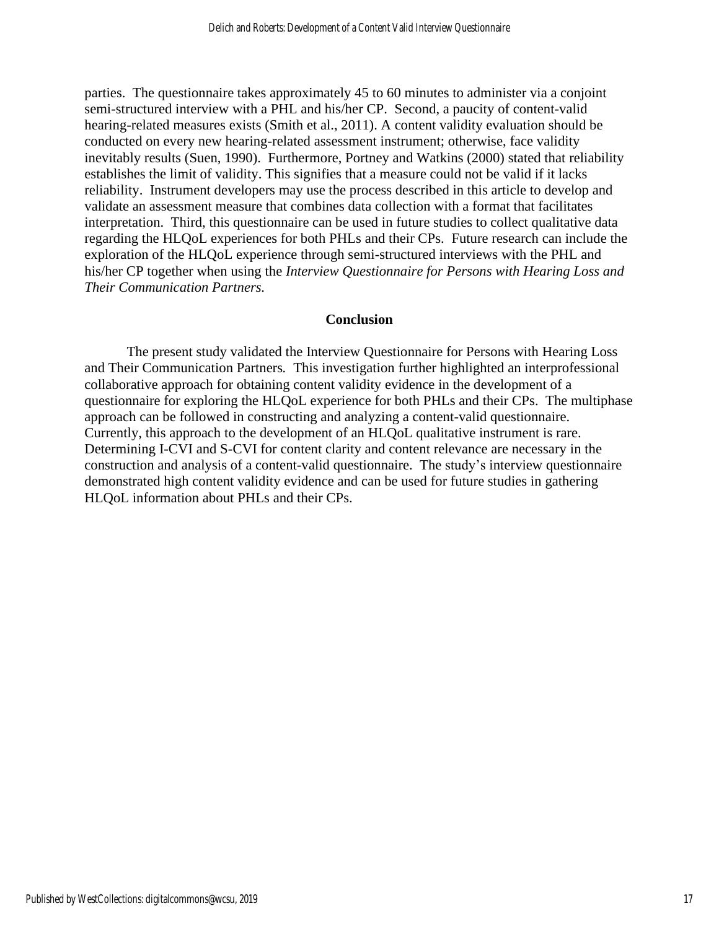parties. The questionnaire takes approximately 45 to 60 minutes to administer via a conjoint semi-structured interview with a PHL and his/her CP. Second, a paucity of content-valid hearing-related measures exists (Smith et al., 2011). A content validity evaluation should be conducted on every new hearing-related assessment instrument; otherwise, face validity inevitably results (Suen, 1990). Furthermore, Portney and Watkins (2000) stated that reliability establishes the limit of validity. This signifies that a measure could not be valid if it lacks reliability. Instrument developers may use the process described in this article to develop and validate an assessment measure that combines data collection with a format that facilitates interpretation. Third, this questionnaire can be used in future studies to collect qualitative data regarding the HLQoL experiences for both PHLs and their CPs. Future research can include the exploration of the HLQoL experience through semi-structured interviews with the PHL and his/her CP together when using the *Interview Questionnaire for Persons with Hearing Loss and Their Communication Partners.*

## **Conclusion**

The present study validated the Interview Questionnaire for Persons with Hearing Loss and Their Communication Partners*.* This investigation further highlighted an interprofessional collaborative approach for obtaining content validity evidence in the development of a questionnaire for exploring the HLQoL experience for both PHLs and their CPs. The multiphase approach can be followed in constructing and analyzing a content-valid questionnaire. Currently, this approach to the development of an HLQoL qualitative instrument is rare. Determining I-CVI and S-CVI for content clarity and content relevance are necessary in the construction and analysis of a content-valid questionnaire. The study's interview questionnaire demonstrated high content validity evidence and can be used for future studies in gathering HLQoL information about PHLs and their CPs.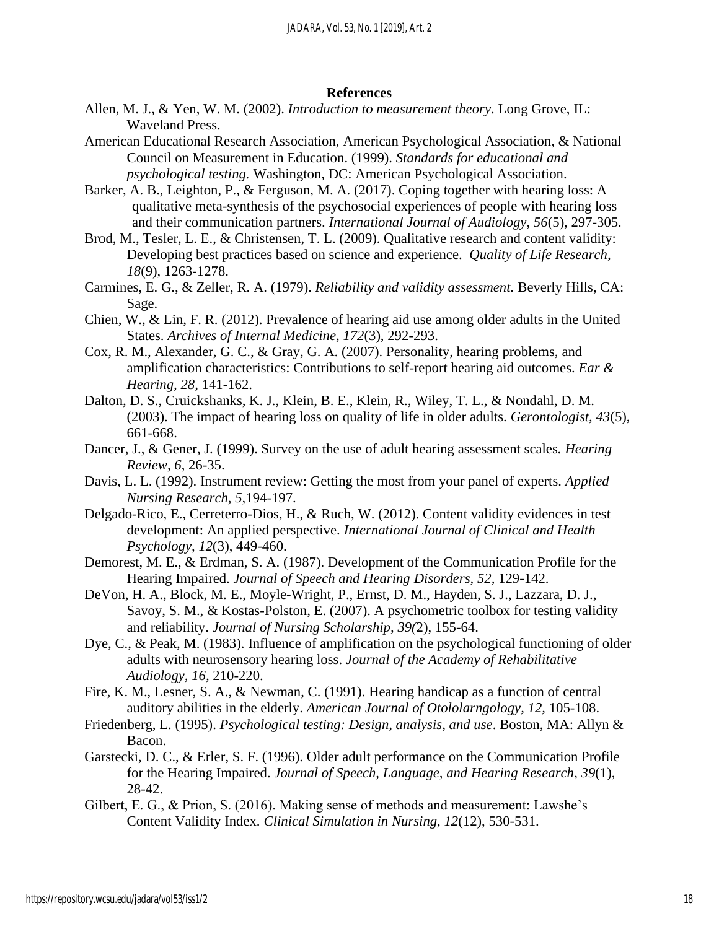#### **References**

- Allen, M. J., & Yen, W. M. (2002). *Introduction to measurement theory*. Long Grove, IL: Waveland Press.
- American Educational Research Association, American Psychological Association, & National Council on Measurement in Education. (1999). *Standards for educational and psychological testing.* Washington, DC: American Psychological Association.
- Barker, A. B., Leighton, P., & Ferguson, M. A. (2017). Coping together with hearing loss: A qualitative meta-synthesis of the psychosocial experiences of people with hearing loss and their communication partners. *International Journal of Audiology, 56*(5), 297-305.
- Brod, M., Tesler, L. E., & Christensen, T. L. (2009). Qualitative research and content validity: Developing best practices based on science and experience. *Quality of Life Research, 18*(9), 1263-1278.
- Carmines, E. G., & Zeller, R. A. (1979). *Reliability and validity assessment.* Beverly Hills, CA: Sage.
- Chien, W., & Lin, F. R. (2012). Prevalence of hearing aid use among older adults in the United States. *Archives of Internal Medicine*, *172*(3), 292-293.
- Cox, R. M., Alexander, G. C., & Gray, G. A. (2007). Personality, hearing problems, and amplification characteristics: Contributions to self-report hearing aid outcomes. *Ear & Hearing, 28,* 141-162.
- Dalton, D. S., Cruickshanks, K. J., Klein, B. E., Klein, R., Wiley, T. L., & Nondahl, D. M. (2003). The impact of hearing loss on quality of life in older adults. *Gerontologist, 43*(5), 661-668.
- Dancer, J., & Gener, J. (1999). Survey on the use of adult hearing assessment scales*. Hearing Review, 6*, 26-35.
- Davis, L. L. (1992). Instrument review: Getting the most from your panel of experts. *Applied Nursing Research, 5,*194-197.
- Delgado-Rico, E., Cerreterro-Dios, H., & Ruch, W. (2012). Content validity evidences in test development: An applied perspective. *International Journal of Clinical and Health Psychology, 12*(3), 449-460.
- Demorest, M. E., & Erdman, S. A. (1987). Development of the Communication Profile for the Hearing Impaired. *Journal of Speech and Hearing Disorders, 52,* 129-142.
- DeVon, H. A., Block, M. E., Moyle-Wright, P., Ernst, D. M., Hayden, S. J., Lazzara, D. J., Savoy, S. M., & Kostas-Polston, E. (2007). A psychometric toolbox for testing validity and reliability. *Journal of Nursing Scholarship, 39(*2), 155-64.
- Dye, C., & Peak, M. (1983). Influence of amplification on the psychological functioning of older adults with neurosensory hearing loss. *Journal of the Academy of Rehabilitative Audiology, 16,* 210-220.
- Fire, K. M., Lesner, S. A., & Newman, C. (1991). Hearing handicap as a function of central auditory abilities in the elderly. *American Journal of Otololarngology, 12,* 105-108.
- Friedenberg, L. (1995). *Psychological testing: Design, analysis, and use*. Boston, MA: Allyn & Bacon.
- Garstecki, D. C., & Erler, S. F. (1996). Older adult performance on the Communication Profile for the Hearing Impaired. *Journal of Speech, Language, and Hearing Research*, *39*(1), 28-42.
- Gilbert, E. G., & Prion, S. (2016). Making sense of methods and measurement: Lawshe's Content Validity Index. *Clinical Simulation in Nursing, 12*(12), 530-531.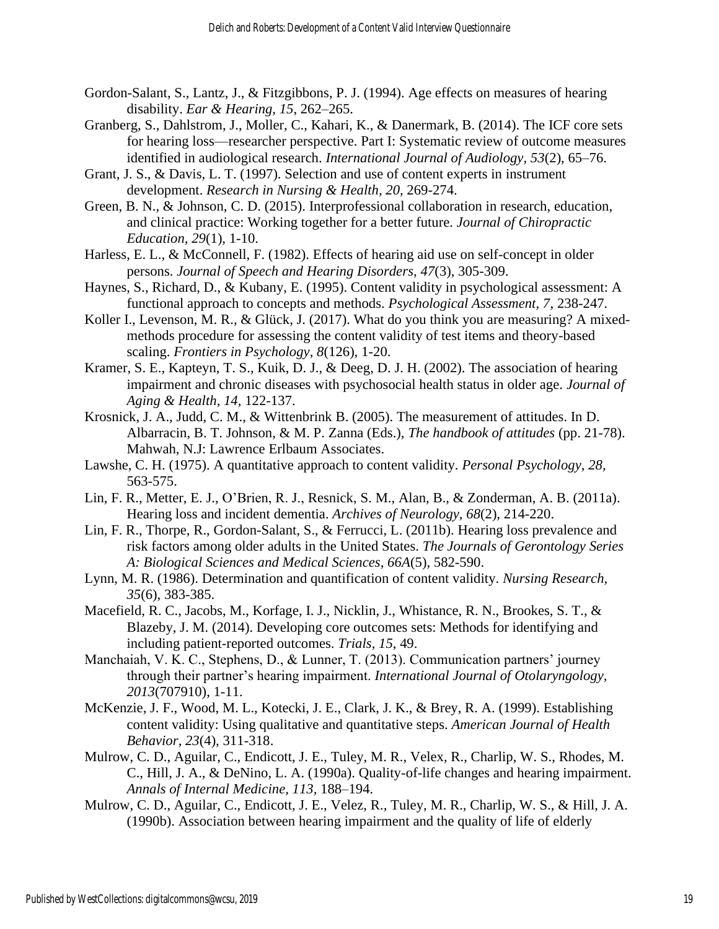- Gordon-Salant, S., Lantz, J., & Fitzgibbons, P. J. (1994). Age effects on measures of hearing disability. *Ear & Hearing, 15*, 262–265.
- Granberg, S., Dahlstrom, J., Moller, C., Kahari, K., & Danermark, B. (2014). The ICF core sets for hearing loss—researcher perspective. Part I: Systematic review of outcome measures identified in audiological research. *International Journal of Audiology, 53*(2), 65–76.
- Grant, J. S., & Davis, L. T. (1997). Selection and use of content experts in instrument development. *Research in Nursing & Health, 20,* 269-274.
- Green, B. N., & Johnson, C. D. (2015). Interprofessional collaboration in research, education, and clinical practice: Working together for a better future. *Journal of Chiropractic Education, 29*(1), 1-10.
- Harless, E. L., & McConnell, F. (1982). Effects of hearing aid use on self-concept in older persons. *Journal of Speech and Hearing Disorders, 47*(3), 305-309.
- Haynes, S., Richard, D., & Kubany, E. (1995). Content validity in psychological assessment: A functional approach to concepts and methods. *Psychological Assessment, 7*, 238-247.
- Koller I., Levenson, M. R., & Glück, J. (2017). What do you think you are measuring? A mixedmethods procedure for assessing the content validity of test items and theory-based scaling. *Frontiers in Psychology, 8*(126), 1-20.
- Kramer, S. E., Kapteyn, T. S., Kuik, D. J., & Deeg, D. J. H. (2002). The association of hearing impairment and chronic diseases with psychosocial health status in older age. *Journal of Aging & Health, 14,* 122-137.
- Krosnick, J. A., Judd, C. M., & Wittenbrink B. (2005). The measurement of attitudes. In D. Albarracin, B. T. Johnson, & M. P. Zanna (Eds.), *The handbook of attitudes* (pp. 21-78). Mahwah, N.J: Lawrence Erlbaum Associates.
- Lawshe, C. H. (1975). A quantitative approach to content validity. *Personal Psychology*, *28,* 563-575.
- Lin, F. R., Metter, E. J., O'Brien, R. J., Resnick, S. M., Alan, B., & Zonderman, A. B. (2011a). Hearing loss and incident dementia. *Archives of Neurology, 68*(2), 214-220.
- Lin, F. R., Thorpe, R., Gordon-Salant, S., & Ferrucci, L. (2011b). Hearing loss prevalence and risk factors among older adults in the United States. *The Journals of Gerontology Series A: Biological Sciences and Medical Sciences, 66A*(5), 582-590.
- Lynn, M. R. (1986). Determination and quantification of content validity. *Nursing Research, 35*(6), 383-385.
- Macefield, R. C., Jacobs, M., Korfage, I. J., Nicklin, J., Whistance, R. N., Brookes, S. T., & Blazeby, J. M. (2014). Developing core outcomes sets: Methods for identifying and including patient-reported outcomes. *Trials, 15*, 49.
- Manchaiah, V. K. C., Stephens, D., & Lunner, T. (2013). Communication partners' journey through their partner's hearing impairment. *International Journal of Otolaryngology, 2013*(707910), 1-11.
- McKenzie, J. F., Wood, M. L., Kotecki, J. E., Clark, J. K., & Brey, R. A. (1999). Establishing content validity: Using qualitative and quantitative steps. *American Journal of Health Behavior*, *23*(4), 311-318.
- Mulrow, C. D., Aguilar, C., Endicott, J. E., Tuley, M. R., Velex, R., Charlip, W. S., Rhodes, M. C., Hill, J. A., & DeNino, L. A. (1990a). Quality-of-life changes and hearing impairment. *Annals of Internal Medicine, 113,* 188–194.
- Mulrow, C. D., Aguilar, C., Endicott, J. E., Velez, R., Tuley, M. R., Charlip, W. S., & Hill, J. A. (1990b). Association between hearing impairment and the quality of life of elderly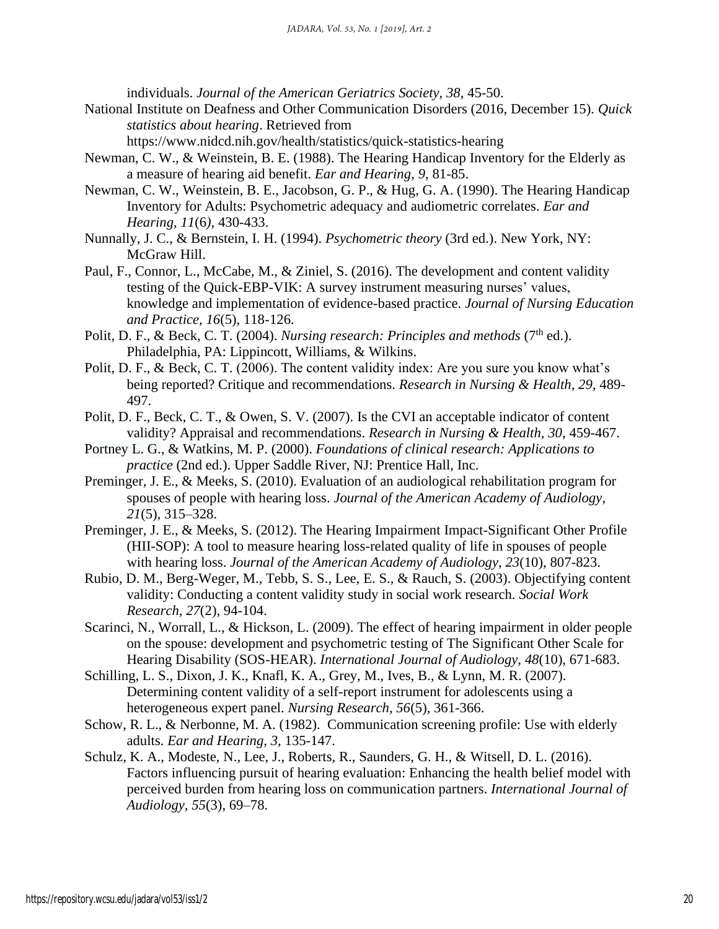individuals. *Journal of the American Geriatrics Society, 38*, 45-50.

National Institute on Deafness and Other Communication Disorders (2016, December 15). *Quick statistics about hearing*. Retrieved from

<https://www.nidcd.nih.gov/health/statistics/quick-statistics-hearing>

- Newman, C. W., & Weinstein, B. E. (1988). The Hearing Handicap Inventory for the Elderly as a measure of hearing aid benefit. *Ear and Hearing, 9,* 81-85.
- Newman, C. W., Weinstein, B. E., Jacobson, G. P., & Hug, G. A. (1990). The Hearing Handicap Inventory for Adults: Psychometric adequacy and audiometric correlates. *Ear and Hearing, 11*(6*)*, 430-433.
- Nunnally, J. C., & Bernstein, I. H. (1994). *Psychometric theory* (3rd ed.). New York, NY: McGraw Hill.
- Paul, F., Connor, L., McCabe, M., & Ziniel, S. (2016). The development and content validity testing of the Quick-EBP-VIK: A survey instrument measuring nurses' values, knowledge and implementation of evidence-based practice. *Journal of Nursing Education and Practice, 16*(5), 118-126.
- Polit, D. F., & Beck, C. T. (2004). *Nursing research: Principles and methods* (7<sup>th</sup> ed.). Philadelphia, PA: Lippincott, Williams, & Wilkins.
- Polit, D. F., & Beck, C. T. (2006). The content validity index: Are you sure you know what's being reported? Critique and recommendations. *Research in Nursing & Health, 29,* 489- 497.
- Polit, D. F., Beck, C. T., & Owen, S. V. (2007). Is the CVI an acceptable indicator of content validity? Appraisal and recommendations. *Research in Nursing & Health, 30*, 459-467.
- Portney L. G., & Watkins, M. P. (2000). *Foundations of clinical research: Applications to practice* (2nd ed.). Upper Saddle River, NJ: Prentice Hall, Inc.
- Preminger, J. E., & Meeks, S. (2010). Evaluation of an audiological rehabilitation program for spouses of people with hearing loss. *Journal of the American Academy of Audiology*, *21*(5), 315–328.
- Preminger, J. E., & Meeks, S. (2012). The Hearing Impairment Impact-Significant Other Profile (HII-SOP): A tool to measure hearing loss-related quality of life in spouses of people with hearing loss. *Journal of the American Academy of Audiology, 23*(10), 807-823.
- Rubio, D. M., Berg-Weger, M., Tebb, S. S., Lee, E. S., & Rauch, S. (2003). Objectifying content validity: Conducting a content validity study in social work research. *Social Work Research, 27*(2), 94-104.
- Scarinci, N., Worrall, L., & Hickson, L. (2009). The effect of hearing impairment in older people on the spouse: development and psychometric testing of The Significant Other Scale for Hearing Disability (SOS-HEAR). *International Journal of Audiology, 48*(10), 671-683.
- Schilling, L. S., Dixon, J. K., Knafl, K. A., Grey, M., Ives, B., & Lynn, M. R. (2007). Determining content validity of a self-report instrument for adolescents using a heterogeneous expert panel. *Nursing Research, 56*(5), 361-366.
- Schow, R. L., & Nerbonne, M. A. (1982). Communication screening profile: Use with elderly adults. *Ear and Hearing, 3,* 135-147.
- Schulz, K. A., Modeste, N., Lee, J., Roberts, R., Saunders, G. H., & Witsell, D. L. (2016). Factors influencing pursuit of hearing evaluation: Enhancing the health belief model with perceived burden from hearing loss on communication partners. *International Journal of Audiology, 55*(3), 69–78.